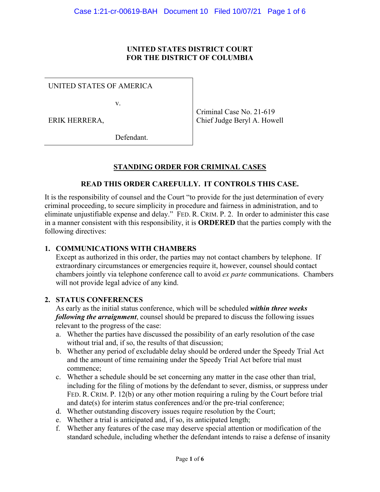#### **UNITED STATES DISTRICT COURT FOR THE DISTRICT OF COLUMBIA**

UNITED STATES OF AMERICA

v.

ERIK HERRERA,

Criminal Case No. 21-619 Chief Judge Beryl A. Howell

Defendant.

# **STANDING ORDER FOR CRIMINAL CASES**

### **READ THIS ORDER CAREFULLY. IT CONTROLS THIS CASE.**

It is the responsibility of counsel and the Court "to provide for the just determination of every criminal proceeding, to secure simplicity in procedure and fairness in administration, and to eliminate unjustifiable expense and delay." FED. R. CRIM. P. 2. In order to administer this case in a manner consistent with this responsibility, it is **ORDERED** that the parties comply with the following directives:

#### **1. COMMUNICATIONS WITH CHAMBERS**

Except as authorized in this order, the parties may not contact chambers by telephone. If extraordinary circumstances or emergencies require it, however, counsel should contact chambers jointly via telephone conference call to avoid *ex parte* communications. Chambers will not provide legal advice of any kind.

#### **2. STATUS CONFERENCES**

As early as the initial status conference, which will be scheduled *within three weeks following the arraignment*, counsel should be prepared to discuss the following issues relevant to the progress of the case:

- a. Whether the parties have discussed the possibility of an early resolution of the case without trial and, if so, the results of that discussion;
- b. Whether any period of excludable delay should be ordered under the Speedy Trial Act and the amount of time remaining under the Speedy Trial Act before trial must commence;
- c. Whether a schedule should be set concerning any matter in the case other than trial, including for the filing of motions by the defendant to sever, dismiss, or suppress under FED. R. CRIM. P. 12(b) or any other motion requiring a ruling by the Court before trial and date(s) for interim status conferences and/or the pre-trial conference;
- d. Whether outstanding discovery issues require resolution by the Court;
- e. Whether a trial is anticipated and, if so, its anticipated length;
- f. Whether any features of the case may deserve special attention or modification of the standard schedule, including whether the defendant intends to raise a defense of insanity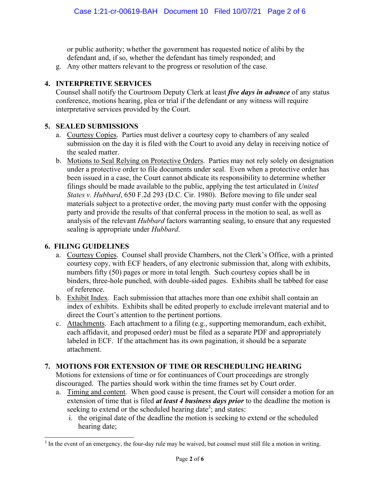or public authority; whether the government has requested notice of alibi by the defendant and, if so, whether the defendant has timely responded; and

g. Any other matters relevant to the progress or resolution of the case.

# **4. INTERPRETIVE SERVICES**

Counsel shall notify the Courtroom Deputy Clerk at least *five days in advance* of any status conference, motions hearing, plea or trial if the defendant or any witness will require interpretative services provided by the Court.

### **5. SEALED SUBMISSIONS**

- a. Courtesy Copies. Parties must deliver a courtesy copy to chambers of any sealed submission on the day it is filed with the Court to avoid any delay in receiving notice of the sealed matter.
- b. Motions to Seal Relying on Protective Orders. Parties may not rely solely on designation under a protective order to file documents under seal. Even when a protective order has been issued in a case, the Court cannot abdicate its responsibility to determine whether filings should be made available to the public, applying the test articulated in *United States v. Hubbard*, 650 F.2d 293 (D.C. Cir. 1980). Before moving to file under seal materials subject to a protective order, the moving party must confer with the opposing party and provide the results of that conferral process in the motion to seal, as well as analysis of the relevant *Hubbard* factors warranting sealing, to ensure that any requested sealing is appropriate under *Hubbard*.

## **6. FILING GUIDELINES**

- a. Courtesy Copies. Counsel shall provide Chambers, not the Clerk's Office, with a printed courtesy copy, with ECF headers, of any electronic submission that, along with exhibits, numbers fifty (50) pages or more in total length. Such courtesy copies shall be in binders, three-hole punched, with double-sided pages. Exhibits shall be tabbed for ease of reference.
- b. Exhibit Index. Each submission that attaches more than one exhibit shall contain an index of exhibits. Exhibits shall be edited properly to exclude irrelevant material and to direct the Court's attention to the pertinent portions.
- c. Attachments. Each attachment to a filing (e.g., supporting memorandum, each exhibit, each affidavit, and proposed order) must be filed as a separate PDF and appropriately labeled in ECF. If the attachment has its own pagination, it should be a separate attachment.

# **7. MOTIONS FOR EXTENSION OF TIME OR RESCHEDULING HEARING**

Motions for extensions of time or for continuances of Court proceedings are strongly discouraged. The parties should work within the time frames set by Court order.

- a. Timing and content. When good cause is present, the Court will consider a motion for an extension of time that is filed *at least 4 business days prior* to the deadline the motion is seeking to extend or the scheduled hearing date<sup>3</sup>; and states:
	- i. the original date of the deadline the motion is seeking to extend or the scheduled hearing date;

<sup>&</sup>lt;sup>3</sup> In the event of an emergency, the four-day rule may be waived, but counsel must still file a motion in writing.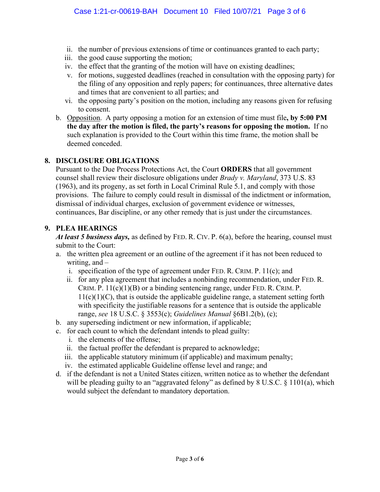- ii. the number of previous extensions of time or continuances granted to each party;
- iii. the good cause supporting the motion;
- iv. the effect that the granting of the motion will have on existing deadlines;
- v. for motions, suggested deadlines (reached in consultation with the opposing party) for the filing of any opposition and reply papers; for continuances, three alternative dates and times that are convenient to all parties; and
- vi. the opposing party's position on the motion, including any reasons given for refusing to consent.
- b. Opposition. A party opposing a motion for an extension of time must file**, by 5:00 PM the day after the motion is filed, the party's reasons for opposing the motion.** If no such explanation is provided to the Court within this time frame, the motion shall be deemed conceded.

### **8. DISCLOSURE OBLIGATIONS**

Pursuant to the Due Process Protections Act, the Court **ORDERS** that all government counsel shall review their disclosure obligations under *Brady v. Maryland*, 373 U.S. 83 (1963), and its progeny, as set forth in Local Criminal Rule 5.1, and comply with those provisions. The failure to comply could result in dismissal of the indictment or information, dismissal of individual charges, exclusion of government evidence or witnesses, continuances, Bar discipline, or any other remedy that is just under the circumstances.

### **9. PLEA HEARINGS**

*At least 5 business days,* as defined by FED. R. CIV. P. 6(a), before the hearing, counsel must submit to the Court:

- a. the written plea agreement or an outline of the agreement if it has not been reduced to writing, and –
	- i. specification of the type of agreement under FED. R. CRIM. P. 11(c); and
	- ii. for any plea agreement that includes a nonbinding recommendation, under FED. R. CRIM. P.  $11(c)(1)(B)$  or a binding sentencing range, under FED. R. CRIM. P.  $11(c)(1)(C)$ , that is outside the applicable guideline range, a statement setting forth with specificity the justifiable reasons for a sentence that is outside the applicable range, *see* 18 U.S.C. § 3553(c); *Guidelines Manual* §6B1.2(b), (c);
- b. any superseding indictment or new information, if applicable;
- c. for each count to which the defendant intends to plead guilty:
	- i. the elements of the offense;
	- ii. the factual proffer the defendant is prepared to acknowledge;
	- iii. the applicable statutory minimum (if applicable) and maximum penalty;
	- iv. the estimated applicable Guideline offense level and range; and
- d. if the defendant is not a United States citizen, written notice as to whether the defendant will be pleading guilty to an "aggravated felony" as defined by 8 U.S.C. § 1101(a), which would subject the defendant to mandatory deportation.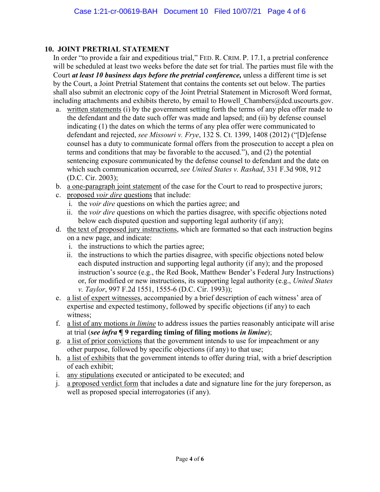### **10. JOINT PRETRIAL STATEMENT**

In order "to provide a fair and expeditious trial," FED. R. CRIM. P. 17.1, a pretrial conference will be scheduled at least two weeks before the date set for trial. The parties must file with the Court *at least 10 business days before the pretrial conference,* unless a different time is set by the Court, a Joint Pretrial Statement that contains the contents set out below. The parties shall also submit an electronic copy of the Joint Pretrial Statement in Microsoft Word format, including attachments and exhibits thereto, by email to Howell Chambers@dcd.uscourts.gov.

- a. written statements (i) by the government setting forth the terms of any plea offer made to the defendant and the date such offer was made and lapsed; and (ii) by defense counsel indicating (1) the dates on which the terms of any plea offer were communicated to defendant and rejected, *see Missouri v. Frye*, 132 S. Ct. 1399, 1408 (2012) ("[D]efense counsel has a duty to communicate formal offers from the prosecution to accept a plea on terms and conditions that may be favorable to the accused."), and (2) the potential sentencing exposure communicated by the defense counsel to defendant and the date on which such communication occurred, *see United States v. Rashad*, 331 F.3d 908, 912 (D.C. Cir. 2003);
- b. a one-paragraph joint statement of the case for the Court to read to prospective jurors;
- c. proposed *voir dire* questions that include:
	- i. the *voir dire* questions on which the parties agree; and
	- ii. the *voir dire* questions on which the parties disagree, with specific objections noted below each disputed question and supporting legal authority (if any);
- d. the text of proposed jury instructions, which are formatted so that each instruction begins on a new page, and indicate:
	- i. the instructions to which the parties agree;
	- ii. the instructions to which the parties disagree, with specific objections noted below each disputed instruction and supporting legal authority (if any); and the proposed instruction's source (e.g., the Red Book, Matthew Bender's Federal Jury Instructions) or, for modified or new instructions, its supporting legal authority (e.g., *United States v. Taylor*, 997 F.2d 1551, 1555-6 (D.C. Cir. 1993));
- e. a list of expert witnesses, accompanied by a brief description of each witness' area of expertise and expected testimony, followed by specific objections (if any) to each witness;
- f. a list of any motions *in limine* to address issues the parties reasonably anticipate will arise at trial (*see infra* **¶ 9 regarding timing of filing motions** *in limine*);
- g. a list of prior convictions that the government intends to use for impeachment or any other purpose, followed by specific objections (if any) to that use;
- h. a list of exhibits that the government intends to offer during trial, with a brief description of each exhibit;
- i. any stipulations executed or anticipated to be executed; and
- j. a proposed verdict form that includes a date and signature line for the jury foreperson, as well as proposed special interrogatories (if any).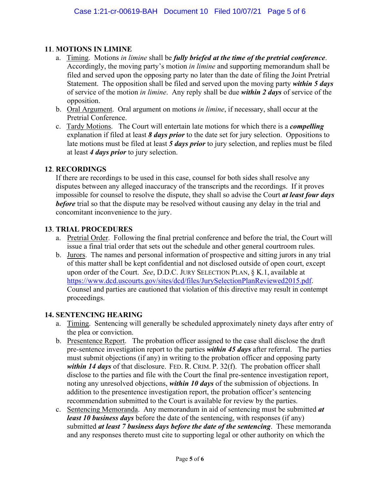### **11**. **MOTIONS IN LIMINE**

- a. Timing.Motions *in limine* shall be *fully briefed at the time of the pretrial conference*. Accordingly, the moving party's motion *in limine* and supporting memorandum shall be filed and served upon the opposing party no later than the date of filing the Joint Pretrial Statement. The opposition shall be filed and served upon the moving party *within 5 days* of service of the motion *in limine*. Any reply shall be due *within 2 days* of service of the opposition.
- b. Oral Argument. Oral argument on motions *in limine*, if necessary, shall occur at the Pretrial Conference.
- c. Tardy Motions. The Court will entertain late motions for which there is a *compelling* explanation if filed at least *8 days prior* to the date set for jury selection. Oppositions to late motions must be filed at least *5 days prior* to jury selection, and replies must be filed at least *4 days prior* to jury selection.

#### **12**. **RECORDINGS**

If there are recordings to be used in this case, counsel for both sides shall resolve any disputes between any alleged inaccuracy of the transcripts and the recordings. If it proves impossible for counsel to resolve the dispute, they shall so advise the Court *at least four days before* trial so that the dispute may be resolved without causing any delay in the trial and concomitant inconvenience to the jury.

### **13**. **TRIAL PROCEDURES**

- a. Pretrial Order. Following the final pretrial conference and before the trial, the Court will issue a final trial order that sets out the schedule and other general courtroom rules.
- b. Jurors. The names and personal information of prospective and sitting jurors in any trial of this matter shall be kept confidential and not disclosed outside of open court, except upon order of the Court. *See*, D.D.C. JURY SELECTION PLAN, § K.1, available at https://www.dcd.uscourts.gov/sites/dcd/files/JurySelectionPlanReviewed2015.pdf. Counsel and parties are cautioned that violation of this directive may result in contempt proceedings.

#### **14. SENTENCING HEARING**

- a. Timing. Sentencing will generally be scheduled approximately ninety days after entry of the plea or conviction.
- b. Presentence Report. The probation officer assigned to the case shall disclose the draft pre-sentence investigation report to the parties *within 45 days* after referral. The parties must submit objections (if any) in writing to the probation officer and opposing party *within 14 days* of that disclosure. FED. R. CRIM. P. 32(f). The probation officer shall disclose to the parties and file with the Court the final pre-sentence investigation report, noting any unresolved objections, *within 10 days* of the submission of objections. In addition to the presentence investigation report, the probation officer's sentencing recommendation submitted to the Court is available for review by the parties.
- c. Sentencing Memoranda. Any memorandum in aid of sentencing must be submitted *at least 10 business days* before the date of the sentencing, with responses (if any) submitted *at least 7 business days before the date of the sentencing*. These memoranda and any responses thereto must cite to supporting legal or other authority on which the